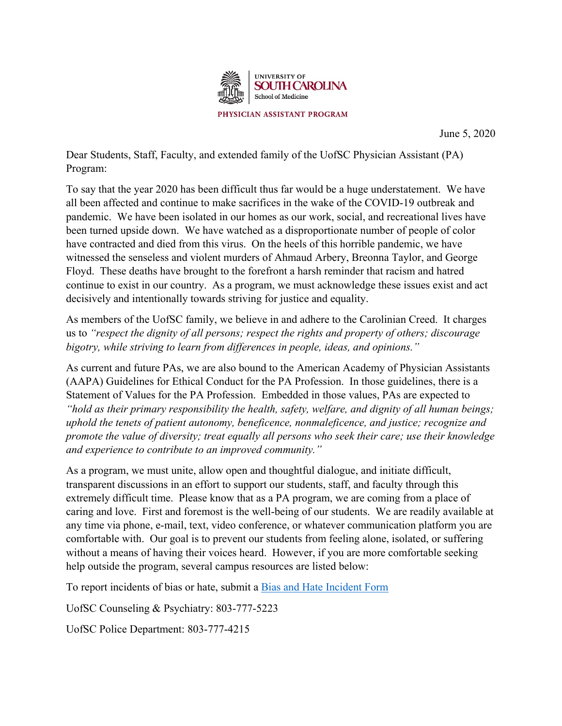

June 5, 2020

Dear Students, Staff, Faculty, and extended family of the UofSC Physician Assistant (PA) Program:

To say that the year 2020 has been difficult thus far would be a huge understatement. We have all been affected and continue to make sacrifices in the wake of the COVID-19 outbreak and pandemic. We have been isolated in our homes as our work, social, and recreational lives have been turned upside down. We have watched as a disproportionate number of people of color have contracted and died from this virus. On the heels of this horrible pandemic, we have witnessed the senseless and violent murders of Ahmaud Arbery, Breonna Taylor, and George Floyd. These deaths have brought to the forefront a harsh reminder that racism and hatred continue to exist in our country. As a program, we must acknowledge these issues exist and act decisively and intentionally towards striving for justice and equality.

As members of the UofSC family, we believe in and adhere to the Carolinian Creed. It charges us to *"respect the dignity of all persons; respect the rights and property of others; discourage bigotry, while striving to learn from differences in people, ideas, and opinions."* 

As current and future PAs, we are also bound to the American Academy of Physician Assistants (AAPA) Guidelines for Ethical Conduct for the PA Profession. In those guidelines, there is a Statement of Values for the PA Profession. Embedded in those values, PAs are expected to *"hold as their primary responsibility the health, safety, welfare, and dignity of all human beings; uphold the tenets of patient autonomy, beneficence, nonmaleficence, and justice; recognize and promote the value of diversity; treat equally all persons who seek their care; use their knowledge and experience to contribute to an improved community."*

As a program, we must unite, allow open and thoughtful dialogue, and initiate difficult, transparent discussions in an effort to support our students, staff, and faculty through this extremely difficult time. Please know that as a PA program, we are coming from a place of caring and love. First and foremost is the well-being of our students. We are readily available at any time via phone, e-mail, text, video conference, or whatever communication platform you are comfortable with. Our goal is to prevent our students from feeling alone, isolated, or suffering without a means of having their voices heard. However, if you are more comfortable seeking help outside the program, several campus resources are listed below:

To report incidents of bias or hate, submit a [Bias and Hate Incident Form](https://publicdocs.maxient.com/reportingform.php?UnivofSouthCarolinaEOP&layout_id=2)

UofSC Counseling & Psychiatry: 803-777-5223

UofSC Police Department: 803-777-4215